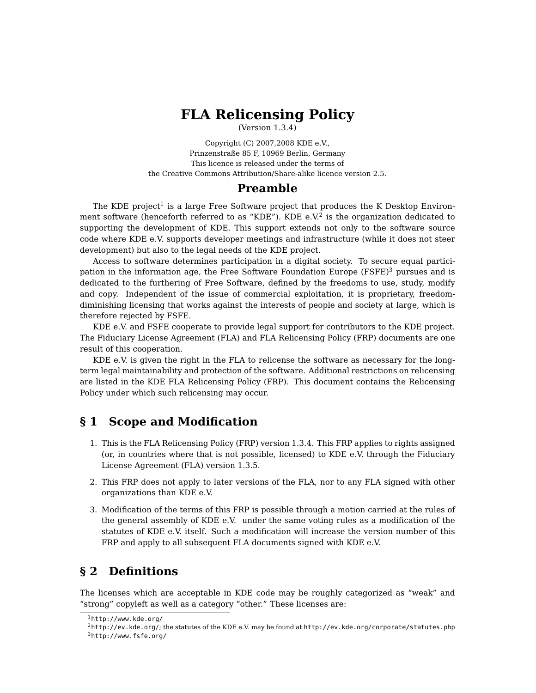# **FLA Relicensing Policy**

(Version 1.3.4)

Copyright (C) 2007,2008 KDE e.V., Prinzenstraße 85 F, 10969 Berlin, Germany This licence is released under the terms of the Creative Commons Attribution/Share-alike licence version 2.5.

#### **Preamble**

The KDE project<sup>[1](#page-0-0)</sup> is a large Free Software project that produces the K Desktop Environ-ment software (henceforth referred to as "KDE"). KDE e.V.<sup>[2](#page-0-1)</sup> is the organization dedicated to supporting the development of KDE. This support extends not only to the software source code where KDE e.V. supports developer meetings and infrastructure (while it does not steer development) but also to the legal needs of the KDE project.

Access to software determines participation in a digital society. To secure equal participation in the information age, the Free Software Foundation Europe  $(FSFE)^3$  $(FSFE)^3$  pursues and is dedicated to the furthering of Free Software, defined by the freedoms to use, study, modify and copy. Independent of the issue of commercial exploitation, it is proprietary, freedomdiminishing licensing that works against the interests of people and society at large, which is therefore rejected by FSFE.

KDE e.V. and FSFE cooperate to provide legal support for contributors to the KDE project. The Fiduciary License Agreement (FLA) and FLA Relicensing Policy (FRP) documents are one result of this cooperation.

KDE e.V. is given the right in the FLA to relicense the software as necessary for the longterm legal maintainability and protection of the software. Additional restrictions on relicensing are listed in the KDE FLA Relicensing Policy (FRP). This document contains the Relicensing Policy under which such relicensing may occur.

## <span id="page-0-3"></span>**§ 1 Scope and Modification**

- 1. This is the FLA Relicensing Policy (FRP) version 1.3.4. This FRP applies to rights assigned (or, in countries where that is not possible, licensed) to KDE e.V. through the Fiduciary License Agreement (FLA) version 1.3.5.
- 2. This FRP does not apply to later versions of the FLA, nor to any FLA signed with other organizations than KDE e.V.
- <span id="page-0-4"></span>3. Modification of the terms of this FRP is possible through a motion carried at the rules of the general assembly of KDE e.V. under the same voting rules as a modification of the statutes of KDE e.V. itself. Such a modification will increase the version number of this FRP and apply to all subsequent FLA documents signed with KDE e.V.

## **§ 2 Definitions**

The licenses which are acceptable in KDE code may be roughly categorized as "weak" and "strong" copyleft as well as a category "other." These licenses are:

<span id="page-0-0"></span><sup>1</sup><http://www.kde.org/>

<span id="page-0-2"></span><span id="page-0-1"></span><sup>2</sup><http://ev.kde.org/>; the statutes of the KDE e.V. may be found at <http://ev.kde.org/corporate/statutes.php> <sup>3</sup><http://www.fsfe.org/>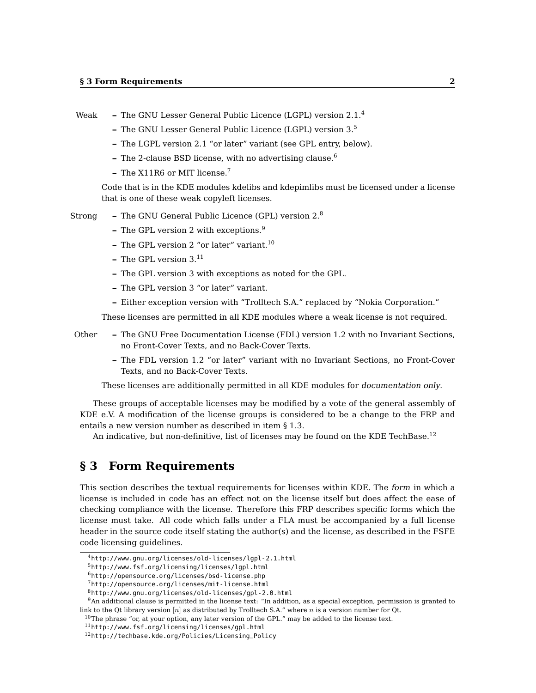- Weak **–** The GNU Lesser General Public Licence (LGPL) version 2.1.[4](#page-1-0)
	- **–** The GNU Lesser General Public Licence (LGPL) version 3.[5](#page-1-1)
	- **–** The LGPL version 2.1 "or later" variant (see GPL entry, below).
	- **–** The 2-clause BSD license, with no advertising clause.[6](#page-1-2)
	- **–** The X11R6 or MIT license.[7](#page-1-3)

Code that is in the KDE modules kdelibs and kdepimlibs must be licensed under a license that is one of these weak copyleft licenses.

- Strong **–** The GNU General Public Licence (GPL) version 2.[8](#page-1-4)
	- **–** The GPL version 2 with exceptions.[9](#page-1-5)
	- **–** The GPL version 2 "or later" variant.[10](#page-1-6)
	- **–** The GPL version 3.[11](#page-1-7)
	- **–** The GPL version 3 with exceptions as noted for the GPL.
	- **–** The GPL version 3 "or later" variant.
	- **–** Either exception version with "Trolltech S.A." replaced by "Nokia Corporation."

These licenses are permitted in all KDE modules where a weak license is not required.

- Other **–** The GNU Free Documentation License (FDL) version 1.2 with no Invariant Sections, no Front-Cover Texts, and no Back-Cover Texts.
	- **–** The FDL version 1.2 "or later" variant with no Invariant Sections, no Front-Cover Texts, and no Back-Cover Texts.

These licenses are additionally permitted in all KDE modules for documentation only.

These groups of acceptable licenses may be modified by a vote of the general assembly of KDE e.V. A modification of the license groups is considered to be a change to the FRP and entails a new version number as described in item [§ 1](#page-0-3)[.3.](#page-0-4)

An indicative, but non-definitive, list of licenses may be found on the KDE TechBase.<sup>[12](#page-1-8)</sup>

## **§ 3 Form Requirements**

This section describes the textual requirements for licenses within KDE. The form in which a license is included in code has an effect not on the license itself but does affect the ease of checking compliance with the license. Therefore this FRP describes specific forms which the license must take. All code which falls under a FLA must be accompanied by a full license header in the source code itself stating the author(s) and the license, as described in the FSFE code licensing guidelines.

<span id="page-1-0"></span><sup>4</sup><http://www.gnu.org/licenses/old-licenses/lgpl-2.1.html>

<span id="page-1-1"></span><sup>5</sup><http://www.fsf.org/licensing/licenses/lgpl.html>

<span id="page-1-2"></span><sup>6</sup><http://opensource.org/licenses/bsd-license.php>

<span id="page-1-3"></span><sup>7</sup><http://opensource.org/licenses/mit-license.html>

<span id="page-1-5"></span><span id="page-1-4"></span><sup>8</sup><http://www.gnu.org/licenses/old-licenses/gpl-2.0.html>

<sup>9</sup>An additional clause is permitted in the license text: "In addition, as a special exception, permission is granted to link to the Qt library version  $[n]$  as distributed by Trolltech S.A." where n is a version number for Qt.

<span id="page-1-6"></span><sup>&</sup>lt;sup>10</sup>The phrase "or, at your option, any later version of the GPL." may be added to the license text.

<span id="page-1-7"></span><sup>11</sup><http://www.fsf.org/licensing/licenses/gpl.html>

<span id="page-1-8"></span><sup>12</sup>[http://techbase.kde.org/Policies/Licensing\\_Policy](http://techbase.kde.org/Policies/Licensing_Policy)